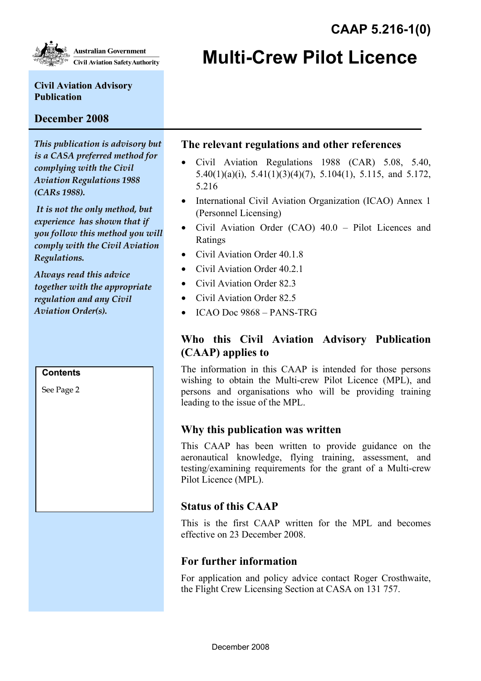# **CAAP 5.216-1(0)**



**Australian Government Civil Aviation Safety Authority** 

### **Civil Aviation Advisory Publication**

### **December 2008**

*This publication is advisory but is a CASA preferred method for complying with the Civil Aviation Regulations 1988 (CARs 1988).*

*It is not the only method, but experience has shown that if you follow this method you will comply with the Civil Aviation Regulations.*

*Always read this advice together with the appropriate regulation and any Civil Aviation Order(s).*

#### **Contents**

See Page 2

# **Multi-Crew Pilot Licence**

### **The relevant regulations and other references**

Civil Aviation Regulations 1988 (CAR) 5.08, 5.40, 5.40(1)(a)(i), 5.41(1)(3)(4)(7), 5.104(1), 5.115, and 5.172, 5.216

International Civil Aviation Organization (ICAO) Annex 1 (Personnel Licensing)

Civil Aviation Order (CAO) 40.0 – Pilot Licences and Ratings

Civil Aviation Order 40.1.8

Civil Aviation Order 40.2.1

Civil Aviation Order 82.3

Civil Aviation Order 82.5

ICAO Doc 9868 – PANS-TRG

### **Who this Civil Aviation Advisory Publication (CAAP) applies to**

The information in this CAAP is intended for those persons wishing to obtain the Multi-crew Pilot Licence (MPL), and persons and organisations who will be providing training leading to the issue of the MPL.

### **Why this publication was written**

This CAAP has been written to provide guidance on the aeronautical knowledge, flying training, assessment, and testing/examining requirements for the grant of a Multi-crew Pilot Licence (MPL).

### **Status of this CAAP**

This is the first CAAP written for the MPL and becomes effective on 23 December 2008.

### **For further information**

For application and policy advice contact Roger Crosthwaite, the Flight Crew Licensing Section at CASA on 131 757.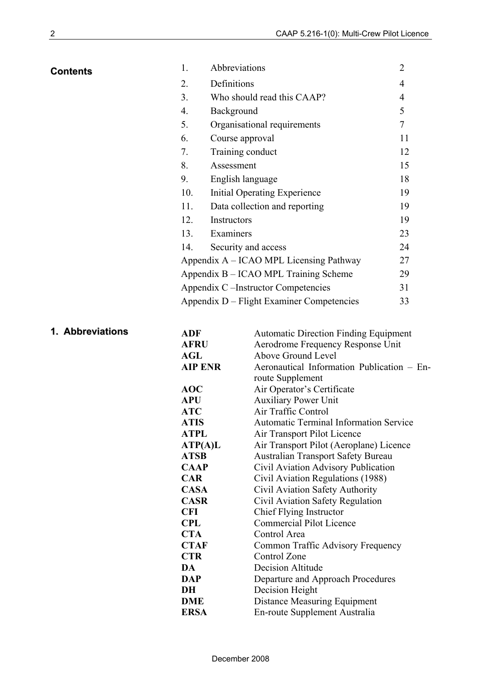| <b>Contents</b>  | 1.                        | Abbreviations    |                                                                  | $\overline{2}$ |
|------------------|---------------------------|------------------|------------------------------------------------------------------|----------------|
|                  | 2.                        | Definitions      |                                                                  | 4              |
|                  | 3.                        |                  | Who should read this CAAP?                                       | $\overline{4}$ |
|                  | 4.                        | Background       |                                                                  | 5              |
|                  | 5.                        |                  | Organisational requirements                                      | $\overline{7}$ |
|                  | 6.                        | Course approval  |                                                                  | 11             |
|                  | 7.                        | Training conduct |                                                                  | 12             |
|                  | 8.                        | Assessment       |                                                                  | 15             |
|                  | 9.                        | English language |                                                                  | 18             |
|                  | 10.                       |                  | <b>Initial Operating Experience</b>                              | 19             |
|                  | 11.                       |                  | Data collection and reporting                                    | 19             |
|                  | 12.                       | Instructors      |                                                                  | 19             |
|                  | 13.                       | Examiners        |                                                                  | 23             |
|                  | 14.                       |                  | Security and access                                              | 24             |
|                  |                           |                  | Appendix A – ICAO MPL Licensing Pathway                          | 27             |
|                  |                           |                  | Appendix B – ICAO MPL Training Scheme                            | 29             |
|                  |                           |                  | Appendix C-Instructor Competencies                               | 31             |
|                  |                           |                  | Appendix D – Flight Examiner Competencies                        | 33             |
|                  |                           |                  |                                                                  |                |
|                  |                           |                  |                                                                  |                |
| 1. Abbreviations | <b>ADF</b>                |                  | <b>Automatic Direction Finding Equipment</b>                     |                |
|                  | <b>AFRU</b><br><b>AGL</b> |                  | Aerodrome Frequency Response Unit                                |                |
|                  | <b>AIP ENR</b>            |                  | Above Ground Level<br>Aeronautical Information Publication - En- |                |
|                  |                           |                  | route Supplement                                                 |                |
|                  | <b>AOC</b>                |                  | Air Operator's Certificate                                       |                |
|                  | <b>APU</b>                |                  | <b>Auxiliary Power Unit</b>                                      |                |
|                  | <b>ATC</b>                |                  | Air Traffic Control                                              |                |
|                  | <b>ATIS</b>               |                  | <b>Automatic Terminal Information Service</b>                    |                |
|                  | <b>ATPL</b>               |                  | Air Transport Pilot Licence                                      |                |
|                  | ATP(A)L                   |                  | Air Transport Pilot (Aeroplane) Licence                          |                |
|                  | <b>ATSB</b>               |                  | <b>Australian Transport Safety Bureau</b>                        |                |
|                  | <b>CAAP</b>               |                  | Civil Aviation Advisory Publication                              |                |
|                  | <b>CAR</b>                |                  | Civil Aviation Regulations (1988)                                |                |
|                  | <b>CASA</b>               |                  | Civil Aviation Safety Authority                                  |                |
|                  | <b>CASR</b>               |                  | Civil Aviation Safety Regulation                                 |                |
|                  | <b>CFI</b>                |                  | Chief Flying Instructor                                          |                |
|                  | <b>CPL</b>                |                  | <b>Commercial Pilot Licence</b>                                  |                |
|                  | <b>CTA</b>                |                  | Control Area                                                     |                |
|                  | <b>CTAF</b>               |                  | Common Traffic Advisory Frequency                                |                |
|                  | <b>CTR</b>                |                  | Control Zone                                                     |                |
|                  | DA                        |                  | Decision Altitude                                                |                |
|                  | <b>DAP</b>                |                  | Departure and Approach Procedures                                |                |
|                  | DH<br><b>DME</b>          |                  | Decision Height<br>Distance Measuring Equipment                  |                |
|                  |                           |                  |                                                                  |                |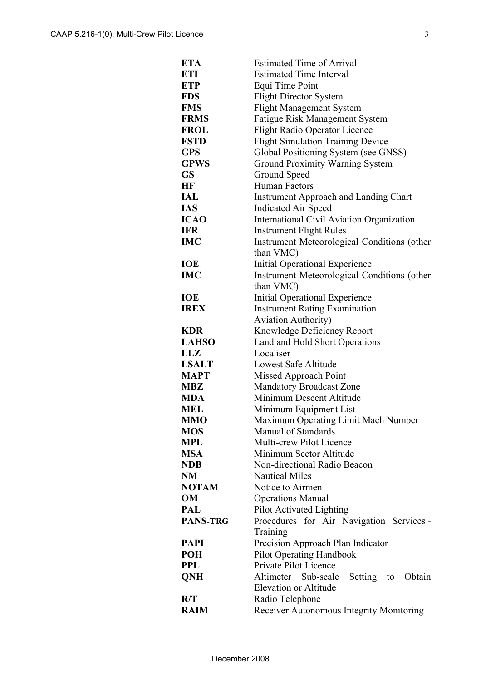| <b>ETA</b>      | <b>Estimated Time of Arrival</b>             |  |  |
|-----------------|----------------------------------------------|--|--|
| <b>ETI</b>      | <b>Estimated Time Interval</b>               |  |  |
| <b>ETP</b>      | Equi Time Point                              |  |  |
| <b>FDS</b>      | <b>Flight Director System</b>                |  |  |
| <b>FMS</b>      | <b>Flight Management System</b>              |  |  |
| <b>FRMS</b>     | Fatigue Risk Management System               |  |  |
| <b>FROL</b>     | <b>Flight Radio Operator Licence</b>         |  |  |
| <b>FSTD</b>     | <b>Flight Simulation Training Device</b>     |  |  |
| <b>GPS</b>      | Global Positioning System (see GNSS)         |  |  |
| <b>GPWS</b>     | Ground Proximity Warning System              |  |  |
| <b>GS</b>       | Ground Speed                                 |  |  |
| HF              | <b>Human Factors</b>                         |  |  |
| <b>IAL</b>      | <b>Instrument Approach and Landing Chart</b> |  |  |
| <b>IAS</b>      | <b>Indicated Air Speed</b>                   |  |  |
| <b>ICAO</b>     | International Civil Aviation Organization    |  |  |
| <b>IFR</b>      | <b>Instrument Flight Rules</b>               |  |  |
| <b>IMC</b>      | Instrument Meteorological Conditions (other  |  |  |
|                 | than VMC)                                    |  |  |
| <b>IOE</b>      | <b>Initial Operational Experience</b>        |  |  |
| <b>IMC</b>      | Instrument Meteorological Conditions (other  |  |  |
|                 | than VMC)                                    |  |  |
| <b>IOE</b>      | <b>Initial Operational Experience</b>        |  |  |
| <b>IREX</b>     | <b>Instrument Rating Examination</b>         |  |  |
|                 | <b>Aviation Authority</b> )                  |  |  |
| <b>KDR</b>      |                                              |  |  |
|                 | Knowledge Deficiency Report                  |  |  |
| <b>LAHSO</b>    | Land and Hold Short Operations<br>Localiser  |  |  |
| <b>LLZ</b>      | Lowest Safe Altitude                         |  |  |
| <b>LSALT</b>    | Missed Approach Point                        |  |  |
| <b>MAPT</b>     |                                              |  |  |
| <b>MBZ</b>      | <b>Mandatory Broadcast Zone</b>              |  |  |
| <b>MDA</b>      | Minimum Descent Altitude                     |  |  |
| <b>MEL</b>      | Minimum Equipment List                       |  |  |
| <b>MMO</b>      | Maximum Operating Limit Mach Number          |  |  |
| <b>MOS</b>      | Manual of Standards                          |  |  |
| <b>MPL</b>      | Multi-crew Pilot Licence                     |  |  |
| <b>MSA</b>      | Minimum Sector Altitude                      |  |  |
| <b>NDB</b>      | Non-directional Radio Beacon                 |  |  |
| NM              | <b>Nautical Miles</b>                        |  |  |
| <b>NOTAM</b>    | Notice to Airmen                             |  |  |
| OM              | <b>Operations Manual</b>                     |  |  |
| <b>PAL</b>      | Pilot Activated Lighting                     |  |  |
| <b>PANS-TRG</b> | Procedures for Air Navigation Services -     |  |  |
|                 | Training                                     |  |  |
| <b>PAPI</b>     | Precision Approach Plan Indicator            |  |  |
| <b>POH</b>      | <b>Pilot Operating Handbook</b>              |  |  |
| <b>PPL</b>      | Private Pilot Licence                        |  |  |
| <b>QNH</b>      | Altimeter Sub-scale<br>Setting to<br>Obtain  |  |  |
|                 | <b>Elevation or Altitude</b>                 |  |  |
| R/T             | Radio Telephone                              |  |  |
| <b>RAIM</b>     | Receiver Autonomous Integrity Monitoring     |  |  |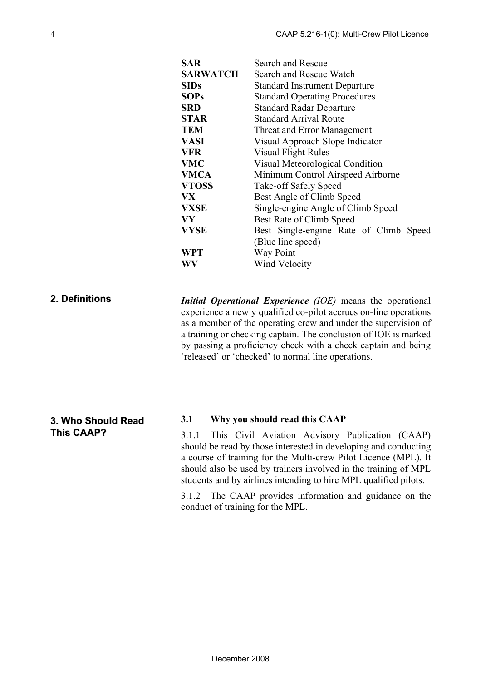| <b>SAR</b>      | Search and Rescue                      |  |  |
|-----------------|----------------------------------------|--|--|
| <b>SARWATCH</b> | Search and Rescue Watch                |  |  |
| <b>SIDs</b>     | <b>Standard Instrument Departure</b>   |  |  |
| <b>SOPs</b>     | <b>Standard Operating Procedures</b>   |  |  |
| <b>SRD</b>      | <b>Standard Radar Departure</b>        |  |  |
| <b>STAR</b>     | <b>Standard Arrival Route</b>          |  |  |
| <b>TEM</b>      | Threat and Error Management            |  |  |
| <b>VASI</b>     | Visual Approach Slope Indicator        |  |  |
| <b>VFR</b>      | <b>Visual Flight Rules</b>             |  |  |
| <b>VMC</b>      | Visual Meteorological Condition        |  |  |
| <b>VMCA</b>     | Minimum Control Airspeed Airborne      |  |  |
| <b>VTOSS</b>    | <b>Take-off Safely Speed</b>           |  |  |
| <b>VX</b>       | Best Angle of Climb Speed              |  |  |
| <b>VXSE</b>     | Single-engine Angle of Climb Speed     |  |  |
| <b>VY</b>       | Best Rate of Climb Speed               |  |  |
| <b>VYSE</b>     | Best Single-engine Rate of Climb Speed |  |  |
|                 | (Blue line speed)                      |  |  |
| <b>WPT</b>      | Way Point                              |  |  |
| WV              | Wind Velocity                          |  |  |

**2. Definitions**

*Initial Operational Experience (IOE)* means the operational experience a newly qualified co-pilot accrues on-line operations as a member of the operating crew and under the supervision of a training or checking captain. The conclusion of IOE is marked by passing a proficiency check with a check captain and being 'released' or 'checked' to normal line operations.

### **3. Who Should Read This CAAP?**

#### **3.1 Why you should read this CAAP**

3.1.1 This Civil Aviation Advisory Publication (CAAP) should be read by those interested in developing and conducting a course of training for the Multi-crew Pilot Licence (MPL). It should also be used by trainers involved in the training of MPL students and by airlines intending to hire MPL qualified pilots.

3.1.2 The CAAP provides information and guidance on the conduct of training for the MPL.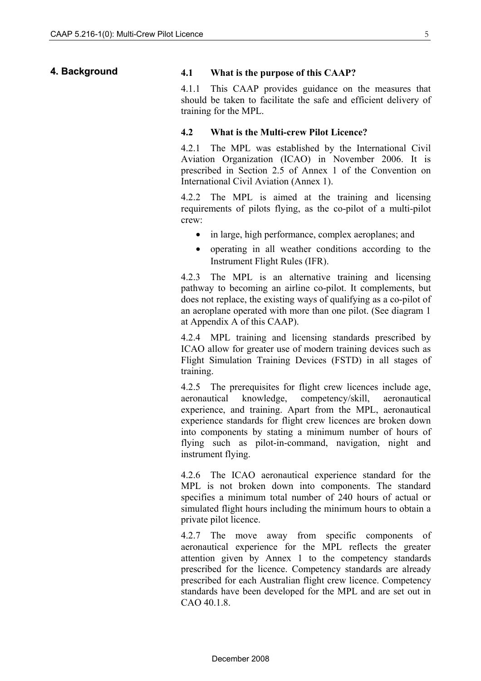#### **4. Background**

#### **4.1 What is the purpose of this CAAP?**

4.1.1 This CAAP provides guidance on the measures that should be taken to facilitate the safe and efficient delivery of training for the MPL.

#### **4.2 What is the Multi-crew Pilot Licence?**

4.2.1 The MPL was established by the International Civil Aviation Organization (ICAO) in November 2006. It is prescribed in Section 2.5 of Annex 1 of the Convention on International Civil Aviation (Annex 1).

4.2.2 The MPL is aimed at the training and licensing requirements of pilots flying, as the co-pilot of a multi-pilot crew:

in large, high performance, complex aeroplanes; and

operating in all weather conditions according to the Instrument Flight Rules (IFR).

4.2.3 The MPL is an alternative training and licensing pathway to becoming an airline co-pilot. It complements, but does not replace, the existing ways of qualifying as a co-pilot of an aeroplane operated with more than one pilot. (See diagram 1 at Appendix A of this CAAP).

4.2.4 MPL training and licensing standards prescribed by ICAO allow for greater use of modern training devices such as Flight Simulation Training Devices (FSTD) in all stages of training.

4.2.5 The prerequisites for flight crew licences include age, aeronautical knowledge, competency/skill, aeronautical experience, and training. Apart from the MPL, aeronautical experience standards for flight crew licences are broken down into components by stating a minimum number of hours of flying such as pilot-in-command, navigation, night and instrument flying.

4.2.6 The ICAO aeronautical experience standard for the MPL is not broken down into components. The standard specifies a minimum total number of 240 hours of actual or simulated flight hours including the minimum hours to obtain a private pilot licence.

4.2.7 The move away from specific components of aeronautical experience for the MPL reflects the greater attention given by Annex 1 to the competency standards prescribed for the licence. Competency standards are already prescribed for each Australian flight crew licence. Competency standards have been developed for the MPL and are set out in CAO 40.1.8.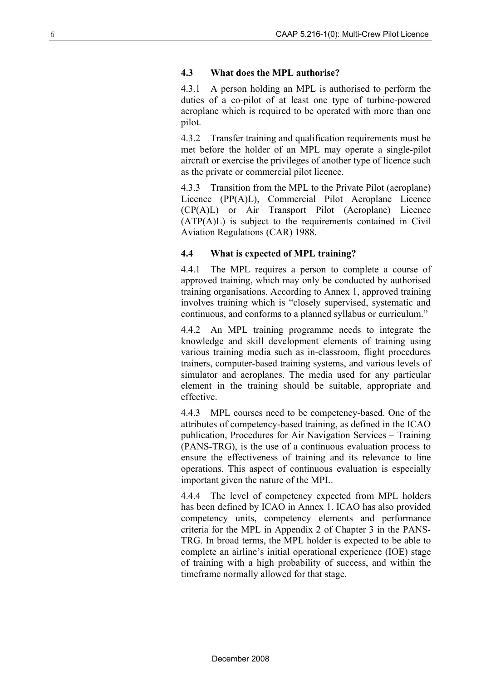#### **4.3 What does the MPL authorise?**

4.3.1 A person holding an MPL is authorised to perform the duties of a co-pilot of at least one type of turbine-powered aeroplane which is required to be operated with more than one pilot.

4.3.2 Transfer training and qualification requirements must be met before the holder of an MPL may operate a single-pilot aircraft or exercise the privileges of another type of licence such as the private or commercial pilot licence.

4.3.3 Transition from the MPL to the Private Pilot (aeroplane) Licence (PP(A)L), Commercial Pilot Aeroplane Licence (CP(A)L) or Air Transport Pilot (Aeroplane) Licence (ATP(A)L) is subject to the requirements contained in Civil Aviation Regulations (CAR) 1988.

#### **4.4 What is expected of MPL training?**

4.4.1 The MPL requires a person to complete a course of approved training, which may only be conducted by authorised training organisations. According to Annex 1, approved training involves training which is "closely supervised, systematic and continuous, and conforms to a planned syllabus or curriculum."

4.4.2 An MPL training programme needs to integrate the knowledge and skill development elements of training using various training media such as in-classroom, flight procedures trainers, computer-based training systems, and various levels of simulator and aeroplanes. The media used for any particular element in the training should be suitable, appropriate and effective.

4.4.3 MPL courses need to be competency-based. One of the attributes of competency-based training, as defined in the ICAO publication, Procedures for Air Navigation Services – Training (PANS-TRG), is the use of a continuous evaluation process to ensure the effectiveness of training and its relevance to line operations. This aspect of continuous evaluation is especially important given the nature of the MPL.

4.4.4 The level of competency expected from MPL holders has been defined by ICAO in Annex 1. ICAO has also provided competency units, competency elements and performance criteria for the MPL in Appendix 2 of Chapter 3 in the PANS-TRG. In broad terms, the MPL holder is expected to be able to complete an airline's initial operational experience (IOE) stage of training with a high probability of success, and within the timeframe normally allowed for that stage.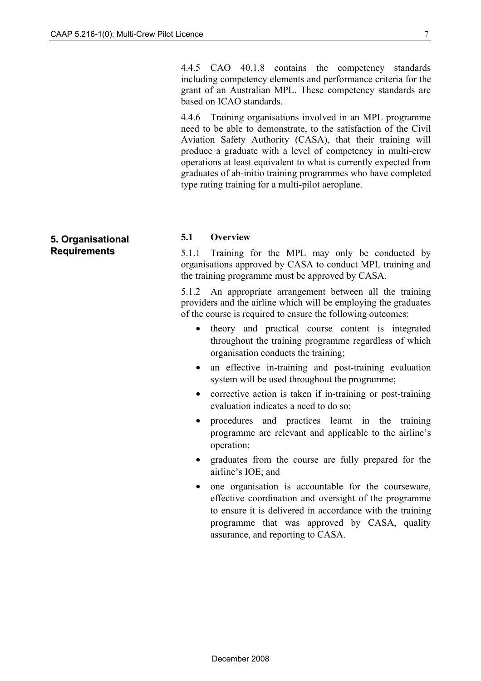4.4.5 CAO 40.1.8 contains the competency standards including competency elements and performance criteria for the grant of an Australian MPL. These competency standards are based on ICAO standards.

4.4.6 Training organisations involved in an MPL programme need to be able to demonstrate, to the satisfaction of the Civil Aviation Safety Authority (CASA), that their training will produce a graduate with a level of competency in multi-crew operations at least equivalent to what is currently expected from graduates of ab-initio training programmes who have completed type rating training for a multi-pilot aeroplane.

### **5. Organisational Requirements**

#### **5.1 Overview**

5.1.1 Training for the MPL may only be conducted by organisations approved by CASA to conduct MPL training and the training programme must be approved by CASA.

5.1.2 An appropriate arrangement between all the training providers and the airline which will be employing the graduates of the course is required to ensure the following outcomes:

> theory and practical course content is integrated throughout the training programme regardless of which organisation conducts the training;

> an effective in-training and post-training evaluation system will be used throughout the programme;

> corrective action is taken if in-training or post-training evaluation indicates a need to do so;

> procedures and practices learnt in the training programme are relevant and applicable to the airline's operation;

> graduates from the course are fully prepared for the airline's IOE; and

> one organisation is accountable for the courseware, effective coordination and oversight of the programme to ensure it is delivered in accordance with the training programme that was approved by CASA, quality assurance, and reporting to CASA.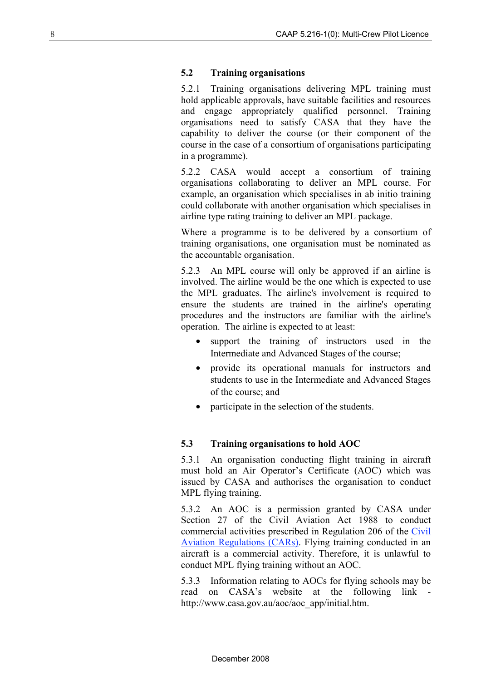### **5.2 Training organisations**

5.2.1 Training organisations delivering MPL training must hold applicable approvals, have suitable facilities and resources and engage appropriately qualified personnel. Training organisations need to satisfy CASA that they have the capability to deliver the course (or their component of the course in the case of a consortium of organisations participating in a programme).

5.2.2 CASA would accept a consortium of training organisations collaborating to deliver an MPL course. For example, an organisation which specialises in ab initio training could collaborate with another organisation which specialises in airline type rating training to deliver an MPL package.

Where a programme is to be delivered by a consortium of training organisations, one organisation must be nominated as the accountable organisation.

5.2.3 An MPL course will only be approved if an airline is involved. The airline would be the one which is expected to use the MPL graduates. The airline's involvement is required to ensure the students are trained in the airline's operating procedures and the instructors are familiar with the airline's operation. The airline is expected to at least:

> support the training of instructors used in the Intermediate and Advanced Stages of the course;

> provide its operational manuals for instructors and students to use in the Intermediate and Advanced Stages of the course; and

participate in the selection of the students.

### **5.3 Training organisations to hold AOC**

5.3.1 An organisation conducting flight training in aircraft must hold an Air Operator's Certificate (AOC) which was issued by CASA and authorises the organisation to conduct MPL flying training.

5.3.2 An AOC is a permission granted by CASA under Section 27 of the Civil Aviation Act 1988 to conduct commercial activities prescribed in Regulation 206 of the Civil Aviation Regulations (CARs). Flying training conducted in an aircraft is a commercial activity. Therefore, it is unlawful to conduct MPL flying training without an AOC.

5.3.3 Information relating to AOCs for flying schools may be read on CASA's website at the following link http://www.casa.gov.au/aoc/aoc\_app/initial.htm.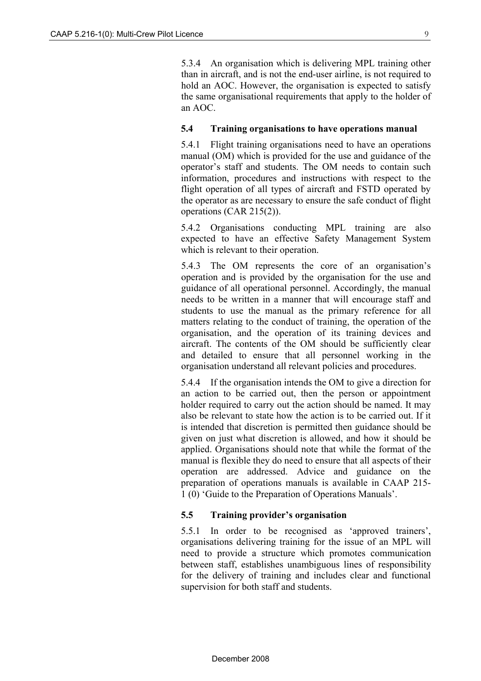5.3.4 An organisation which is delivering MPL training other than in aircraft, and is not the end-user airline, is not required to hold an AOC. However, the organisation is expected to satisfy the same organisational requirements that apply to the holder of an AOC.

### **5.4 Training organisations to have operations manual**

5.4.1 Flight training organisations need to have an operations manual (OM) which is provided for the use and guidance of the operator's staff and students. The OM needs to contain such information, procedures and instructions with respect to the flight operation of all types of aircraft and FSTD operated by the operator as are necessary to ensure the safe conduct of flight operations (CAR 215(2)).

5.4.2 Organisations conducting MPL training are also expected to have an effective Safety Management System which is relevant to their operation.

5.4.3 The OM represents the core of an organisation's operation and is provided by the organisation for the use and guidance of all operational personnel. Accordingly, the manual needs to be written in a manner that will encourage staff and students to use the manual as the primary reference for all matters relating to the conduct of training, the operation of the organisation, and the operation of its training devices and aircraft. The contents of the OM should be sufficiently clear and detailed to ensure that all personnel working in the organisation understand all relevant policies and procedures.

5.4.4 If the organisation intends the OM to give a direction for an action to be carried out, then the person or appointment holder required to carry out the action should be named. It may also be relevant to state how the action is to be carried out. If it is intended that discretion is permitted then guidance should be given on just what discretion is allowed, and how it should be applied. Organisations should note that while the format of the manual is flexible they do need to ensure that all aspects of their operation are addressed. Advice and guidance on the preparation of operations manuals is available in CAAP 215- 1 (0) 'Guide to the Preparation of Operations Manuals'.

### **5.5 Training provider's organisation**

5.5.1 In order to be recognised as 'approved trainers', organisations delivering training for the issue of an MPL will need to provide a structure which promotes communication between staff, establishes unambiguous lines of responsibility for the delivery of training and includes clear and functional supervision for both staff and students.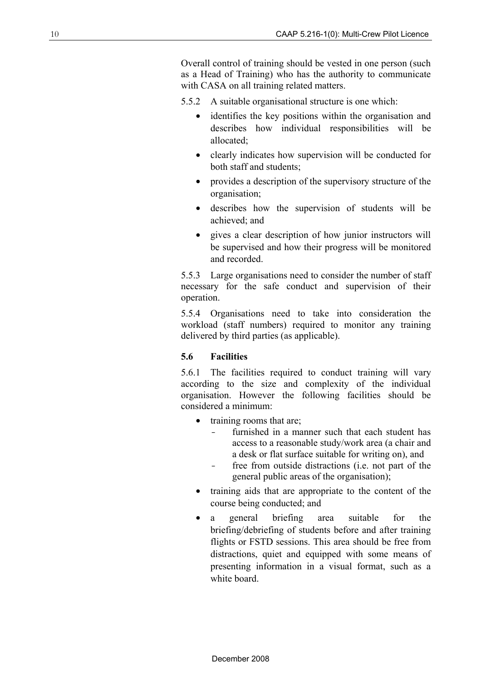Overall control of training should be vested in one person (such as a Head of Training) who has the authority to communicate with CASA on all training related matters.

5.5.2 A suitable organisational structure is one which:

identifies the key positions within the organisation and describes how individual responsibilities will be allocated;

clearly indicates how supervision will be conducted for both staff and students;

provides a description of the supervisory structure of the organisation;

describes how the supervision of students will be achieved; and

gives a clear description of how junior instructors will be supervised and how their progress will be monitored and recorded.

5.5.3 Large organisations need to consider the number of staff necessary for the safe conduct and supervision of their operation.

5.5.4 Organisations need to take into consideration the workload (staff numbers) required to monitor any training delivered by third parties (as applicable).

### **5.6 Facilities**

5.6.1 The facilities required to conduct training will vary according to the size and complexity of the individual organisation. However the following facilities should be considered a minimum:

training rooms that are;

- furnished in a manner such that each student has access to a reasonable study/work area (a chair and a desk or flat surface suitable for writing on), and
- free from outside distractions (i.e. not part of the general public areas of the organisation);

training aids that are appropriate to the content of the course being conducted; and

a general briefing area suitable for the briefing/debriefing of students before and after training flights or FSTD sessions. This area should be free from distractions, quiet and equipped with some means of presenting information in a visual format, such as a white board.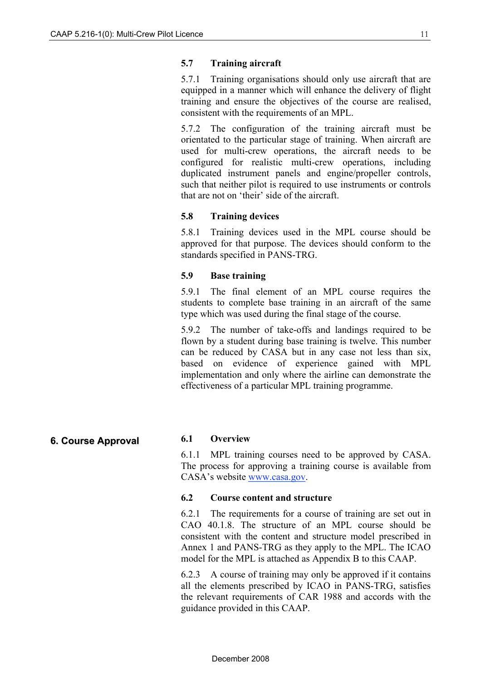#### **5.7 Training aircraft**

5.7.1 Training organisations should only use aircraft that are equipped in a manner which will enhance the delivery of flight training and ensure the objectives of the course are realised, consistent with the requirements of an MPL.

5.7.2 The configuration of the training aircraft must be orientated to the particular stage of training. When aircraft are used for multi-crew operations, the aircraft needs to be configured for realistic multi-crew operations, including duplicated instrument panels and engine/propeller controls, such that neither pilot is required to use instruments or controls that are not on 'their' side of the aircraft.

#### **5.8 Training devices**

5.8.1 Training devices used in the MPL course should be approved for that purpose. The devices should conform to the standards specified in PANS-TRG.

#### **5.9 Base training**

5.9.1 The final element of an MPL course requires the students to complete base training in an aircraft of the same type which was used during the final stage of the course.

5.9.2 The number of take-offs and landings required to be flown by a student during base training is twelve. This number can be reduced by CASA but in any case not less than six, based on evidence of experience gained with MPL implementation and only where the airline can demonstrate the effectiveness of a particular MPL training programme.

#### **6. Course Approval**

#### **6.1 Overview**

6.1.1 MPL training courses need to be approved by CASA. The process for approving a training course is available from CASA's website www.casa.gov.

#### **6.2 Course content and structure**

6.2.1 The requirements for a course of training are set out in CAO 40.1.8. The structure of an MPL course should be consistent with the content and structure model prescribed in Annex 1 and PANS-TRG as they apply to the MPL. The ICAO model for the MPL is attached as Appendix B to this CAAP.

6.2.3 A course of training may only be approved if it contains all the elements prescribed by ICAO in PANS-TRG, satisfies the relevant requirements of CAR 1988 and accords with the guidance provided in this CAAP.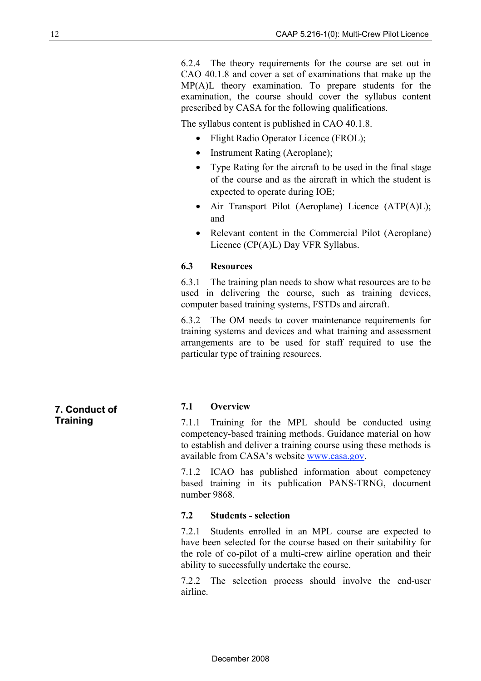6.2.4 The theory requirements for the course are set out in CAO 40.1.8 and cover a set of examinations that make up the MP(A)L theory examination. To prepare students for the examination, the course should cover the syllabus content prescribed by CASA for the following qualifications.

The syllabus content is published in CAO 40.1.8.

Flight Radio Operator Licence (FROL);

Instrument Rating (Aeroplane);

Type Rating for the aircraft to be used in the final stage of the course and as the aircraft in which the student is expected to operate during IOE;

Air Transport Pilot (Aeroplane) Licence (ATP(A)L); and

Relevant content in the Commercial Pilot (Aeroplane) Licence (CP(A)L) Day VFR Syllabus.

### **6.3 Resources**

6.3.1 The training plan needs to show what resources are to be used in delivering the course, such as training devices, computer based training systems, FSTDs and aircraft.

6.3.2 The OM needs to cover maintenance requirements for training systems and devices and what training and assessment arrangements are to be used for staff required to use the particular type of training resources.

### **7. Conduct of Training**

### **7.1 Overview**

7.1.1 Training for the MPL should be conducted using competency-based training methods. Guidance material on how to establish and deliver a training course using these methods is available from CASA's website www.casa.gov.

7.1.2 ICAO has published information about competency based training in its publication PANS-TRNG, document number 9868.

### **7.2 Students - selection**

7.2.1 Students enrolled in an MPL course are expected to have been selected for the course based on their suitability for the role of co-pilot of a multi-crew airline operation and their ability to successfully undertake the course.

7.2.2 The selection process should involve the end-user airline.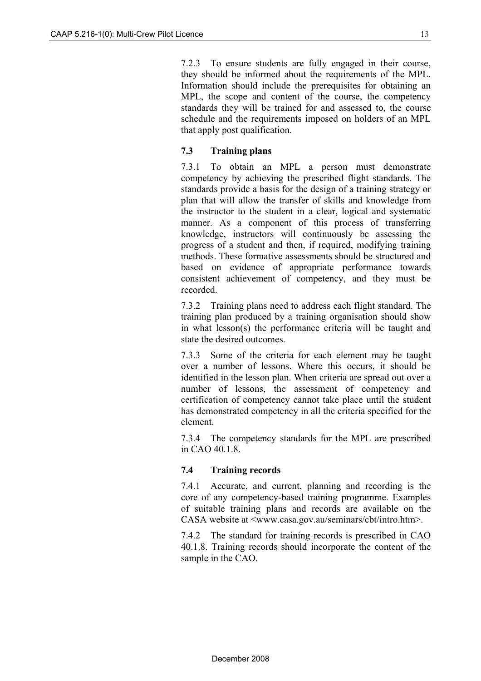7.2.3 To ensure students are fully engaged in their course, they should be informed about the requirements of the MPL. Information should include the prerequisites for obtaining an MPL, the scope and content of the course, the competency standards they will be trained for and assessed to, the course schedule and the requirements imposed on holders of an MPL that apply post qualification.

### **7.3 Training plans**

7.3.1 To obtain an MPL a person must demonstrate competency by achieving the prescribed flight standards. The standards provide a basis for the design of a training strategy or plan that will allow the transfer of skills and knowledge from the instructor to the student in a clear, logical and systematic manner. As a component of this process of transferring knowledge, instructors will continuously be assessing the progress of a student and then, if required, modifying training methods. These formative assessments should be structured and based on evidence of appropriate performance towards consistent achievement of competency, and they must be recorded.

7.3.2 Training plans need to address each flight standard. The training plan produced by a training organisation should show in what lesson(s) the performance criteria will be taught and state the desired outcomes.

7.3.3 Some of the criteria for each element may be taught over a number of lessons. Where this occurs, it should be identified in the lesson plan. When criteria are spread out over a number of lessons, the assessment of competency and certification of competency cannot take place until the student has demonstrated competency in all the criteria specified for the element.

7.3.4 The competency standards for the MPL are prescribed in  $CAO$  40.1.8.

#### **7.4 Training records**

7.4.1 Accurate, and current, planning and recording is the core of any competency-based training programme. Examples of suitable training plans and records are available on the CASA website at <www.casa.gov.au/seminars/cbt/intro.htm>.

7.4.2 The standard for training records is prescribed in CAO 40.1.8. Training records should incorporate the content of the sample in the CAO.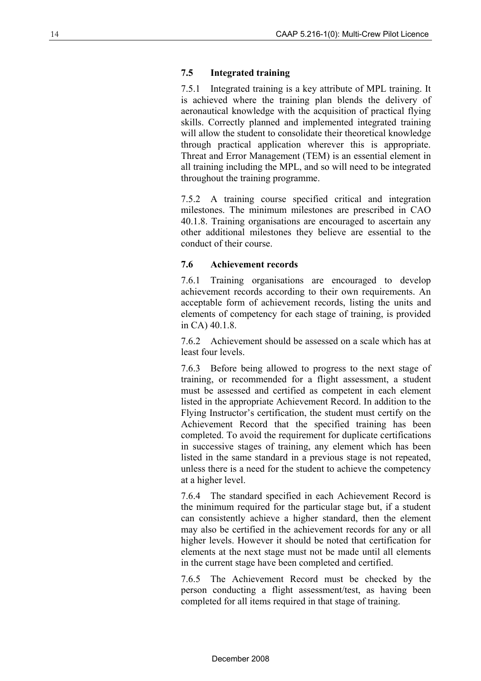### **7.5 Integrated training**

7.5.1 Integrated training is a key attribute of MPL training. It is achieved where the training plan blends the delivery of aeronautical knowledge with the acquisition of practical flying skills. Correctly planned and implemented integrated training will allow the student to consolidate their theoretical knowledge through practical application wherever this is appropriate. Threat and Error Management (TEM) is an essential element in all training including the MPL, and so will need to be integrated throughout the training programme.

7.5.2 A training course specified critical and integration milestones. The minimum milestones are prescribed in CAO 40.1.8. Training organisations are encouraged to ascertain any other additional milestones they believe are essential to the conduct of their course.

### **7.6 Achievement records**

7.6.1 Training organisations are encouraged to develop achievement records according to their own requirements. An acceptable form of achievement records, listing the units and elements of competency for each stage of training, is provided in CA) 40.1.8.

7.6.2 Achievement should be assessed on a scale which has at least four levels.

7.6.3 Before being allowed to progress to the next stage of training, or recommended for a flight assessment, a student must be assessed and certified as competent in each element listed in the appropriate Achievement Record. In addition to the Flying Instructor's certification, the student must certify on the Achievement Record that the specified training has been completed. To avoid the requirement for duplicate certifications in successive stages of training, any element which has been listed in the same standard in a previous stage is not repeated, unless there is a need for the student to achieve the competency at a higher level.

7.6.4 The standard specified in each Achievement Record is the minimum required for the particular stage but, if a student can consistently achieve a higher standard, then the element may also be certified in the achievement records for any or all higher levels. However it should be noted that certification for elements at the next stage must not be made until all elements in the current stage have been completed and certified.

7.6.5 The Achievement Record must be checked by the person conducting a flight assessment/test, as having been completed for all items required in that stage of training.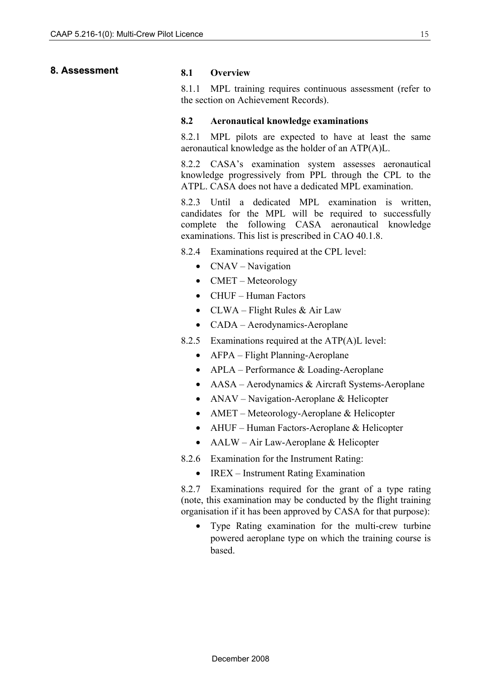#### **8. Assessment**

#### **8.1 Overview**

8.1.1 MPL training requires continuous assessment (refer to the section on Achievement Records).

#### **8.2 Aeronautical knowledge examinations**

8.2.1 MPL pilots are expected to have at least the same aeronautical knowledge as the holder of an ATP(A)L.

8.2.2 CASA's examination system assesses aeronautical knowledge progressively from PPL through the CPL to the ATPL. CASA does not have a dedicated MPL examination.

8.2.3 Until a dedicated MPL examination is written, candidates for the MPL will be required to successfully complete the following CASA aeronautical knowledge examinations. This list is prescribed in CAO 40.1.8.

8.2.4 Examinations required at the CPL level:

CNAV – Navigation

CMET – Meteorology

CHUF – Human Factors

CLWA – Flight Rules & Air Law

CADA – Aerodynamics-Aeroplane

8.2.5 Examinations required at the ATP(A)L level:

AFPA – Flight Planning-Aeroplane

APLA – Performance & Loading-Aeroplane

AASA – Aerodynamics & Aircraft Systems-Aeroplane

ANAV – Navigation-Aeroplane & Helicopter

AMET – Meteorology-Aeroplane & Helicopter

AHUF – Human Factors-Aeroplane & Helicopter

AALW – Air Law-Aeroplane & Helicopter

8.2.6 Examination for the Instrument Rating:

IREX – Instrument Rating Examination

8.2.7 Examinations required for the grant of a type rating (note, this examination may be conducted by the flight training organisation if it has been approved by CASA for that purpose):

> Type Rating examination for the multi-crew turbine powered aeroplane type on which the training course is based.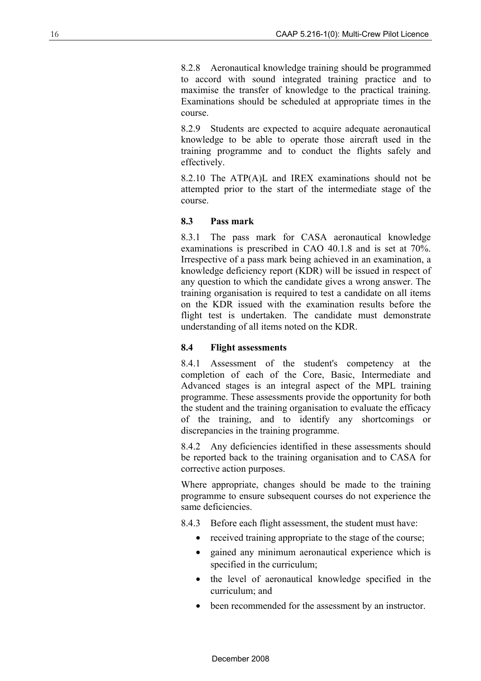8.2.8 Aeronautical knowledge training should be programmed to accord with sound integrated training practice and to maximise the transfer of knowledge to the practical training. Examinations should be scheduled at appropriate times in the course.

8.2.9 Students are expected to acquire adequate aeronautical knowledge to be able to operate those aircraft used in the training programme and to conduct the flights safely and effectively.

8.2.10 The ATP(A)L and IREX examinations should not be attempted prior to the start of the intermediate stage of the course.

#### **8.3 Pass mark**

8.3.1 The pass mark for CASA aeronautical knowledge examinations is prescribed in CAO 40.1.8 and is set at 70%. Irrespective of a pass mark being achieved in an examination, a knowledge deficiency report (KDR) will be issued in respect of any question to which the candidate gives a wrong answer. The training organisation is required to test a candidate on all items on the KDR issued with the examination results before the flight test is undertaken. The candidate must demonstrate understanding of all items noted on the KDR.

#### **8.4 Flight assessments**

8.4.1 Assessment of the student's competency at the completion of each of the Core, Basic, Intermediate and Advanced stages is an integral aspect of the MPL training programme. These assessments provide the opportunity for both the student and the training organisation to evaluate the efficacy of the training, and to identify any shortcomings or discrepancies in the training programme.

8.4.2 Any deficiencies identified in these assessments should be reported back to the training organisation and to CASA for corrective action purposes.

Where appropriate, changes should be made to the training programme to ensure subsequent courses do not experience the same deficiencies.

8.4.3 Before each flight assessment, the student must have:

received training appropriate to the stage of the course;

gained any minimum aeronautical experience which is specified in the curriculum;

the level of aeronautical knowledge specified in the curriculum; and

been recommended for the assessment by an instructor.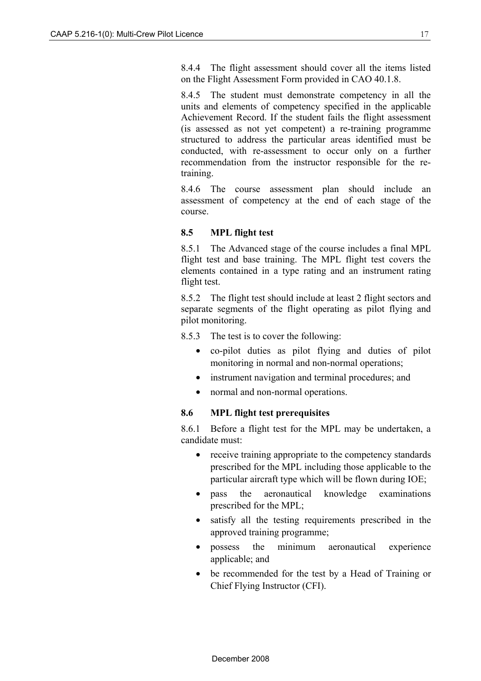8.4.4 The flight assessment should cover all the items listed on the Flight Assessment Form provided in CAO 40.1.8.

8.4.5 The student must demonstrate competency in all the units and elements of competency specified in the applicable Achievement Record. If the student fails the flight assessment (is assessed as not yet competent) a re-training programme structured to address the particular areas identified must be conducted, with re-assessment to occur only on a further recommendation from the instructor responsible for the retraining.

8.4.6 The course assessment plan should include an assessment of competency at the end of each stage of the course.

#### **8.5 MPL flight test**

8.5.1 The Advanced stage of the course includes a final MPL flight test and base training. The MPL flight test covers the elements contained in a type rating and an instrument rating flight test.

8.5.2 The flight test should include at least 2 flight sectors and separate segments of the flight operating as pilot flying and pilot monitoring.

8.5.3 The test is to cover the following:

co-pilot duties as pilot flying and duties of pilot monitoring in normal and non-normal operations;

instrument navigation and terminal procedures; and

normal and non-normal operations.

#### **8.6 MPL flight test prerequisites**

8.6.1 Before a flight test for the MPL may be undertaken, a candidate must:

> receive training appropriate to the competency standards prescribed for the MPL including those applicable to the particular aircraft type which will be flown during IOE;

> pass the aeronautical knowledge examinations prescribed for the MPL;

> satisfy all the testing requirements prescribed in the approved training programme;

> possess the minimum aeronautical experience applicable; and

> be recommended for the test by a Head of Training or Chief Flying Instructor (CFI).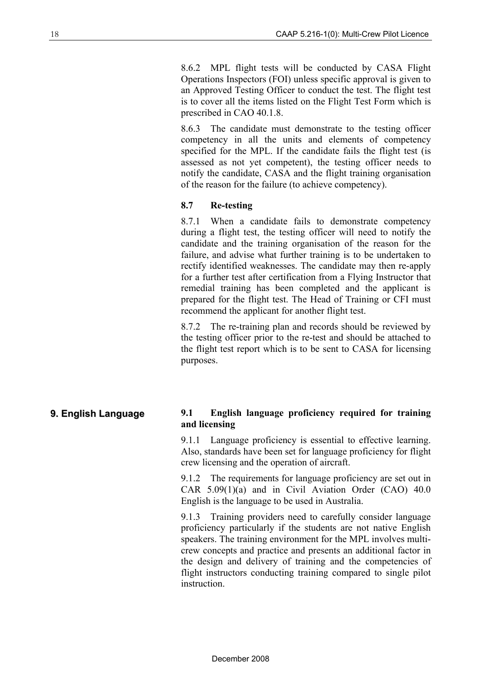8.6.2 MPL flight tests will be conducted by CASA Flight Operations Inspectors (FOI) unless specific approval is given to an Approved Testing Officer to conduct the test. The flight test is to cover all the items listed on the Flight Test Form which is prescribed in CAO 40.1.8.

8.6.3 The candidate must demonstrate to the testing officer competency in all the units and elements of competency specified for the MPL. If the candidate fails the flight test (is assessed as not yet competent), the testing officer needs to notify the candidate, CASA and the flight training organisation of the reason for the failure (to achieve competency).

#### **8.7 Re-testing**

8.7.1 When a candidate fails to demonstrate competency during a flight test, the testing officer will need to notify the candidate and the training organisation of the reason for the failure, and advise what further training is to be undertaken to rectify identified weaknesses. The candidate may then re-apply for a further test after certification from a Flying Instructor that remedial training has been completed and the applicant is prepared for the flight test. The Head of Training or CFI must recommend the applicant for another flight test.

8.7.2 The re-training plan and records should be reviewed by the testing officer prior to the re-test and should be attached to the flight test report which is to be sent to CASA for licensing purposes.

#### **9. English Language**

### **9.1 English language proficiency required for training and licensing**

9.1.1 Language proficiency is essential to effective learning. Also, standards have been set for language proficiency for flight crew licensing and the operation of aircraft.

9.1.2 The requirements for language proficiency are set out in CAR 5.09(1)(a) and in Civil Aviation Order (CAO) 40.0 English is the language to be used in Australia.

9.1.3 Training providers need to carefully consider language proficiency particularly if the students are not native English speakers. The training environment for the MPL involves multicrew concepts and practice and presents an additional factor in the design and delivery of training and the competencies of flight instructors conducting training compared to single pilot instruction.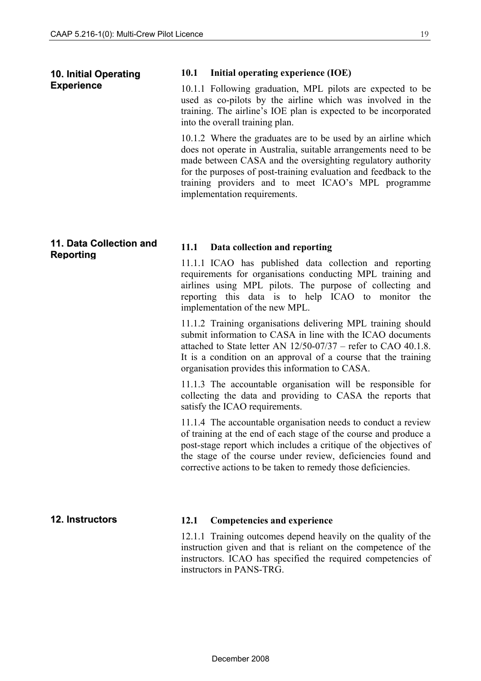#### **10. Initial Operating Experience**

#### **10.1 Initial operating experience (IOE)**

10.1.1 Following graduation, MPL pilots are expected to be used as co-pilots by the airline which was involved in the training. The airline's IOE plan is expected to be incorporated into the overall training plan.

10.1.2 Where the graduates are to be used by an airline which does not operate in Australia, suitable arrangements need to be made between CASA and the oversighting regulatory authority for the purposes of post-training evaluation and feedback to the training providers and to meet ICAO's MPL programme implementation requirements.

### **11. Data Collection and Reporting**

### **11.1 Data collection and reporting**

11.1.1 ICAO has published data collection and reporting requirements for organisations conducting MPL training and airlines using MPL pilots. The purpose of collecting and reporting this data is to help ICAO to monitor the implementation of the new MPL.

11.1.2 Training organisations delivering MPL training should submit information to CASA in line with the ICAO documents attached to State letter AN 12/50-07/37 – refer to CAO 40.1.8. It is a condition on an approval of a course that the training organisation provides this information to CASA.

11.1.3 The accountable organisation will be responsible for collecting the data and providing to CASA the reports that satisfy the ICAO requirements.

11.1.4 The accountable organisation needs to conduct a review of training at the end of each stage of the course and produce a post-stage report which includes a critique of the objectives of the stage of the course under review, deficiencies found and corrective actions to be taken to remedy those deficiencies.

#### **12.Instructors**

#### **12.1 Competencies and experience**

12.1.1 Training outcomes depend heavily on the quality of the instruction given and that is reliant on the competence of the instructors. ICAO has specified the required competencies of instructors in PANS-TRG.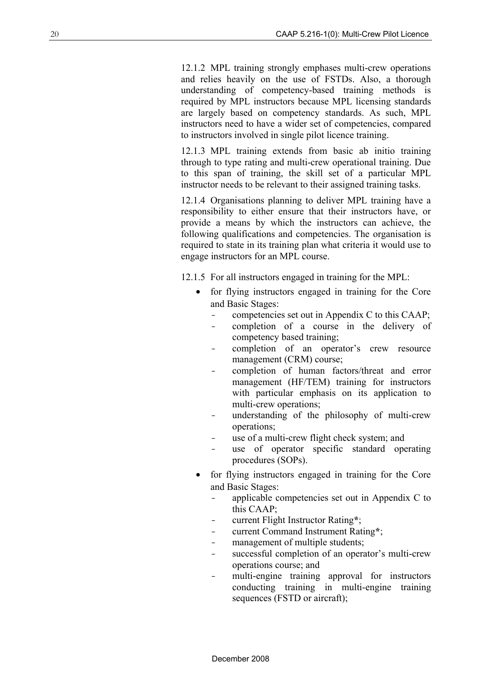12.1.2 MPL training strongly emphases multi-crew operations and relies heavily on the use of FSTDs. Also, a thorough understanding of competency-based training methods is required by MPL instructors because MPL licensing standards are largely based on competency standards. As such, MPL instructors need to have a wider set of competencies, compared to instructors involved in single pilot licence training.

12.1.3 MPL training extends from basic ab initio training through to type rating and multi-crew operational training. Due to this span of training, the skill set of a particular MPL instructor needs to be relevant to their assigned training tasks.

12.1.4 Organisations planning to deliver MPL training have a responsibility to either ensure that their instructors have, or provide a means by which the instructors can achieve, the following qualifications and competencies. The organisation is required to state in its training plan what criteria it would use to engage instructors for an MPL course.

12.1.5 For all instructors engaged in training for the MPL:

for flying instructors engaged in training for the Core and Basic Stages:

- competencies set out in Appendix C to this CAAP;
- completion of a course in the delivery of competency based training;
- completion of an operator's crew resource management (CRM) course;
- completion of human factors/threat and error management (HF/TEM) training for instructors with particular emphasis on its application to multi-crew operations;
- understanding of the philosophy of multi-crew operations;
- use of a multi-crew flight check system; and
- use of operator specific standard operating procedures (SOPs).

for flying instructors engaged in training for the Core and Basic Stages:

- applicable competencies set out in Appendix C to this CAAP;
- current Flight Instructor Rating**\***;
- current Command Instrument Rating**\***;
- management of multiple students;
- successful completion of an operator's multi-crew operations course; and
- multi-engine training approval for instructors conducting training in multi-engine training sequences (FSTD or aircraft);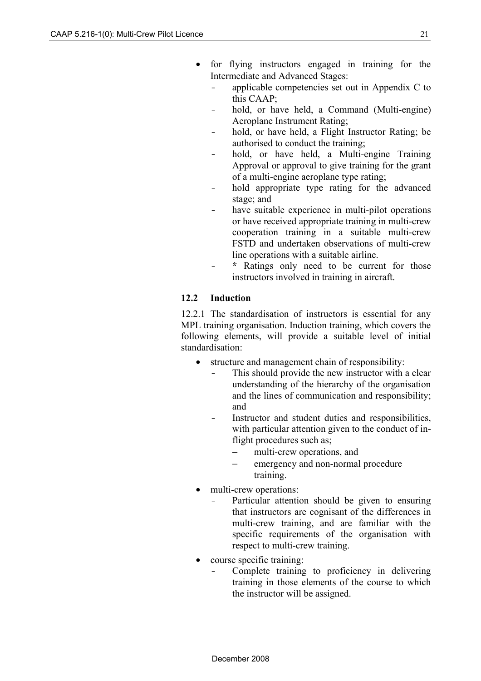for flying instructors engaged in training for the Intermediate and Advanced Stages:

- applicable competencies set out in Appendix C to this CAAP;
- hold, or have held, a Command (Multi-engine) Aeroplane Instrument Rating;
- hold, or have held, a Flight Instructor Rating; be authorised to conduct the training;
- hold, or have held, a Multi-engine Training Approval or approval to give training for the grant of a multi-engine aeroplane type rating;
- hold appropriate type rating for the advanced stage; and
- have suitable experience in multi-pilot operations or have received appropriate training in multi-crew cooperation training in a suitable multi-crew FSTD and undertaken observations of multi-crew line operations with a suitable airline.
- \* Ratings only need to be current for those instructors involved in training in aircraft.

### **12.2 Induction**

12.2.1 The standardisation of instructors is essential for any MPL training organisation. Induction training, which covers the following elements, will provide a suitable level of initial standardisation:

structure and management chain of responsibility:

- This should provide the new instructor with a clear understanding of the hierarchy of the organisation and the lines of communication and responsibility; and
- Instructor and student duties and responsibilities, with particular attention given to the conduct of inflight procedures such as;
	- multi-crew operations, and
	- emergency and non-normal procedure training.

multi-crew operations:

Particular attention should be given to ensuring that instructors are cognisant of the differences in multi-crew training, and are familiar with the specific requirements of the organisation with respect to multi-crew training.

course specific training:

Complete training to proficiency in delivering training in those elements of the course to which the instructor will be assigned.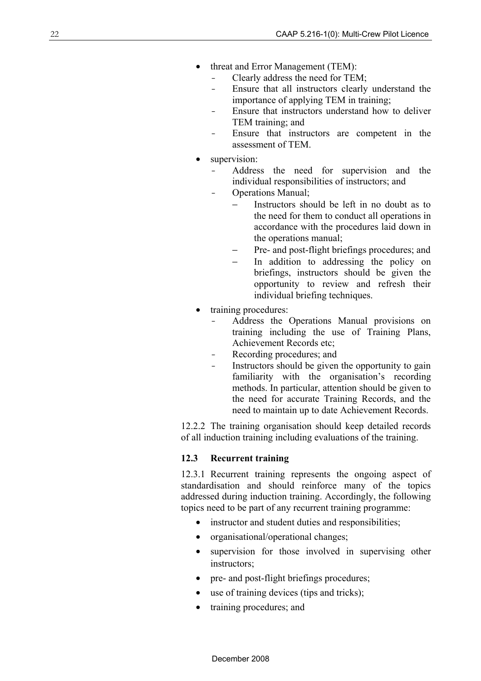threat and Error Management (TEM):

- Clearly address the need for TEM;
- Ensure that all instructors clearly understand the importance of applying TEM in training;
- Ensure that instructors understand how to deliver TEM training; and
- Ensure that instructors are competent in the assessment of TEM.

supervision:

- Address the need for supervision and the individual responsibilities of instructors; and
- Operations Manual;
	- Instructors should be left in no doubt as to the need for them to conduct all operations in accordance with the procedures laid down in the operations manual;
	- Pre- and post-flight briefings procedures; and
	- In addition to addressing the policy on briefings, instructors should be given the opportunity to review and refresh their individual briefing techniques.

training procedures:

- Address the Operations Manual provisions on training including the use of Training Plans, Achievement Records etc;
- Recording procedures; and
- Instructors should be given the opportunity to gain familiarity with the organisation's recording methods. In particular, attention should be given to the need for accurate Training Records, and the need to maintain up to date Achievement Records.

12.2.2 The training organisation should keep detailed records of all induction training including evaluations of the training.

#### **12.3 Recurrent training**

12.3.1 Recurrent training represents the ongoing aspect of standardisation and should reinforce many of the topics addressed during induction training. Accordingly, the following topics need to be part of any recurrent training programme:

instructor and student duties and responsibilities;

organisational/operational changes;

supervision for those involved in supervising other instructors;

pre- and post-flight briefings procedures;

use of training devices (tips and tricks);

training procedures; and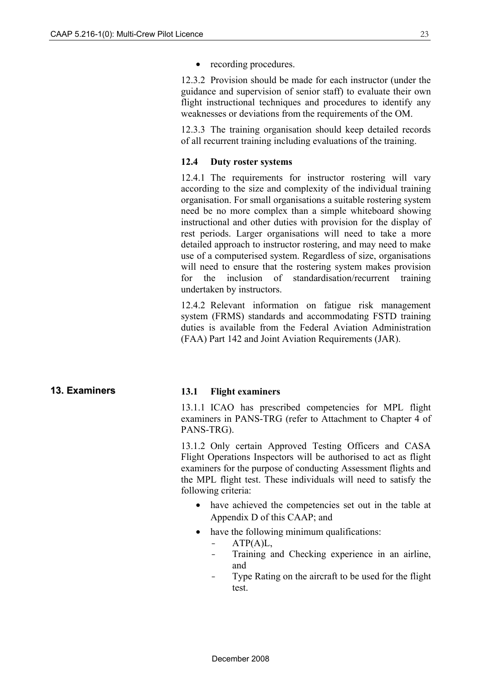recording procedures.

12.3.2 Provision should be made for each instructor (under the guidance and supervision of senior staff) to evaluate their own flight instructional techniques and procedures to identify any weaknesses or deviations from the requirements of the OM.

12.3.3 The training organisation should keep detailed records of all recurrent training including evaluations of the training.

#### **12.4 Duty roster systems**

12.4.1 The requirements for instructor rostering will vary according to the size and complexity of the individual training organisation. For small organisations a suitable rostering system need be no more complex than a simple whiteboard showing instructional and other duties with provision for the display of rest periods. Larger organisations will need to take a more detailed approach to instructor rostering, and may need to make use of a computerised system. Regardless of size, organisations will need to ensure that the rostering system makes provision for the inclusion of standardisation/recurrent training undertaken by instructors.

12.4.2 Relevant information on fatigue risk management system (FRMS) standards and accommodating FSTD training duties is available from the Federal Aviation Administration (FAA) Part 142 and Joint Aviation Requirements (JAR).

#### **13. Examiners**

#### **13.1 Flight examiners**

13.1.1 ICAO has prescribed competencies for MPL flight examiners in PANS-TRG (refer to Attachment to Chapter 4 of PANS-TRG).

13.1.2 Only certain Approved Testing Officers and CASA Flight Operations Inspectors will be authorised to act as flight examiners for the purpose of conducting Assessment flights and the MPL flight test. These individuals will need to satisfy the following criteria:

> have achieved the competencies set out in the table at Appendix D of this CAAP; and

have the following minimum qualifications:

- $ATP(A)L$ ,
- Training and Checking experience in an airline, and
- Type Rating on the aircraft to be used for the flight test.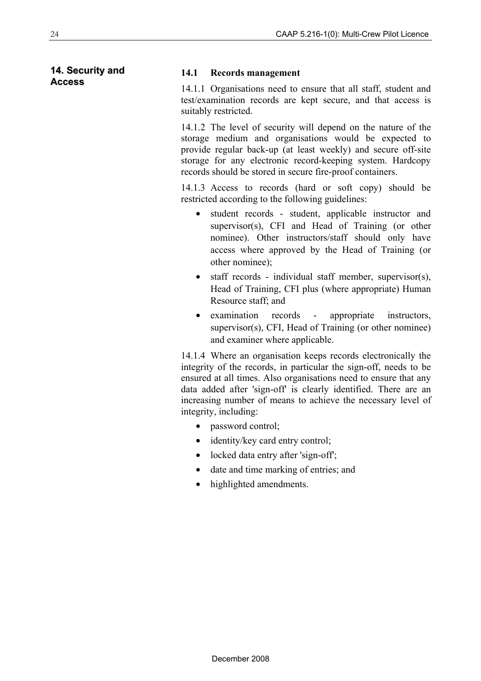### **14. Security and Access**

#### **14.1 Records management**

14.1.1 Organisations need to ensure that all staff, student and test/examination records are kept secure, and that access is suitably restricted.

14.1.2 The level of security will depend on the nature of the storage medium and organisations would be expected to provide regular back-up (at least weekly) and secure off-site storage for any electronic record-keeping system. Hardcopy records should be stored in secure fire-proof containers.

14.1.3 Access to records (hard or soft copy) should be restricted according to the following guidelines:

> student records - student, applicable instructor and supervisor(s), CFI and Head of Training (or other nominee). Other instructors/staff should only have access where approved by the Head of Training (or other nominee);

> staff records - individual staff member, supervisor(s), Head of Training, CFI plus (where appropriate) Human Resource staff: and

> examination records - appropriate instructors, supervisor(s), CFI, Head of Training (or other nominee) and examiner where applicable.

14.1.4 Where an organisation keeps records electronically the integrity of the records, in particular the sign-off, needs to be ensured at all times. Also organisations need to ensure that any data added after 'sign-off' is clearly identified. There are an increasing number of means to achieve the necessary level of integrity, including:

password control;

identity/key card entry control;

locked data entry after 'sign-off';

date and time marking of entries; and

highlighted amendments.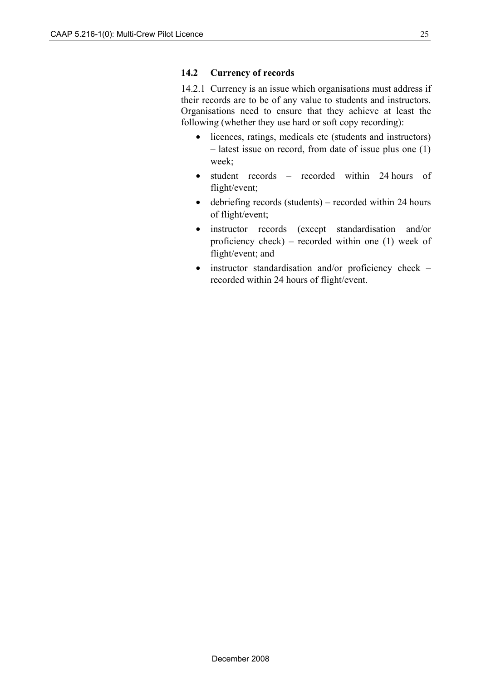### **14.2 Currency of records**

14.2.1 Currency is an issue which organisations must address if their records are to be of any value to students and instructors. Organisations need to ensure that they achieve at least the following (whether they use hard or soft copy recording):

> licences, ratings, medicals etc (students and instructors) – latest issue on record, from date of issue plus one (1) week;

> student records – recorded within 24 hours of flight/event;

> debriefing records (students) – recorded within 24 hours of flight/event;

> instructor records (except standardisation and/or proficiency check) – recorded within one (1) week of flight/event; and

> instructor standardisation and/or proficiency check – recorded within 24 hours of flight/event.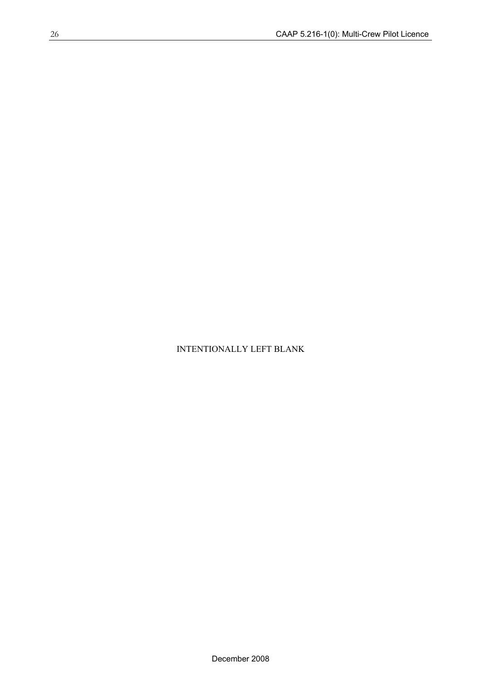### INTENTIONALLY LEFT BLANK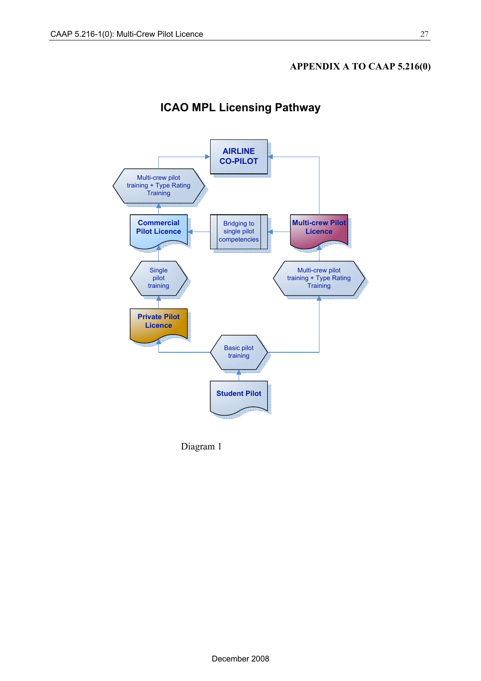**APPENDIX A TO CAAP 5.216(0)** 



## **ICAO MPL Licensing Pathway**

Diagram 1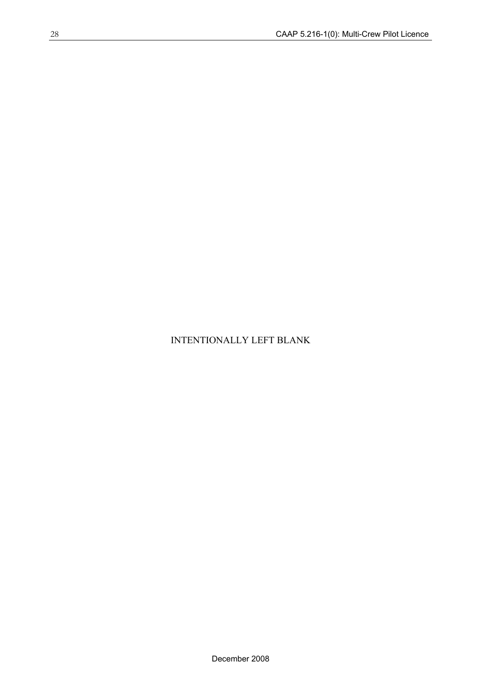### INTENTIONALLY LEFT BLANK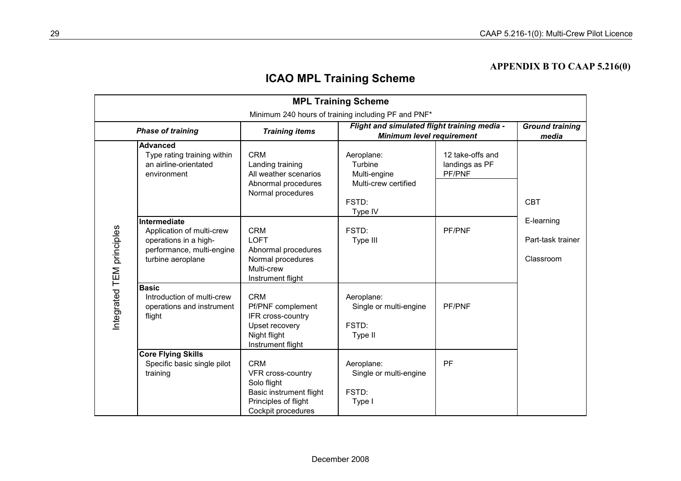### **APPENDIX B TO CAAP 5.216(0)**

|                           |                                                                                                                      |                                                                                                                         | <b>MPL Training Scheme</b>                                                        |                                              |                                              |
|---------------------------|----------------------------------------------------------------------------------------------------------------------|-------------------------------------------------------------------------------------------------------------------------|-----------------------------------------------------------------------------------|----------------------------------------------|----------------------------------------------|
|                           |                                                                                                                      |                                                                                                                         | Minimum 240 hours of training including PF and PNF*                               |                                              |                                              |
| <b>Phase of training</b>  |                                                                                                                      | <b>Training items</b>                                                                                                   | Flight and simulated flight training media -<br><b>Minimum level requirement</b>  |                                              | <b>Ground training</b><br>media              |
|                           | <b>Advanced</b><br>Type rating training within<br>an airline-orientated<br>environment                               | <b>CRM</b><br>Landing training<br>All weather scenarios<br>Abnormal procedures<br>Normal procedures                     | Aeroplane:<br>Turbine<br>Multi-engine<br>Multi-crew certified<br>FSTD:<br>Type IV | 12 take-offs and<br>landings as PF<br>PF/PNF | <b>CBT</b>                                   |
| Integrated TEM principles | Intermediate<br>Application of multi-crew<br>operations in a high-<br>performance, multi-engine<br>turbine aeroplane | <b>CRM</b><br><b>LOFT</b><br>Abnormal procedures<br>Normal procedures<br>Multi-crew<br>Instrument flight                | FSTD:<br>Type III                                                                 | PF/PNF                                       | E-learning<br>Part-task trainer<br>Classroom |
|                           | <b>Basic</b><br>Introduction of multi-crew<br>operations and instrument<br>flight                                    | <b>CRM</b><br>Pf/PNF complement<br>IFR cross-country<br>Upset recovery<br>Night flight<br>Instrument flight             | Aeroplane:<br>Single or multi-engine<br>FSTD:<br>Type II                          | PF/PNF                                       |                                              |
|                           | <b>Core Flying Skills</b><br>Specific basic single pilot<br>training                                                 | <b>CRM</b><br>VFR cross-country<br>Solo flight<br>Basic instrument flight<br>Principles of flight<br>Cockpit procedures | Aeroplane:<br>Single or multi-engine<br>FSTD:<br>Type I                           | PF                                           |                                              |

# **ICAO MPL Training Scheme**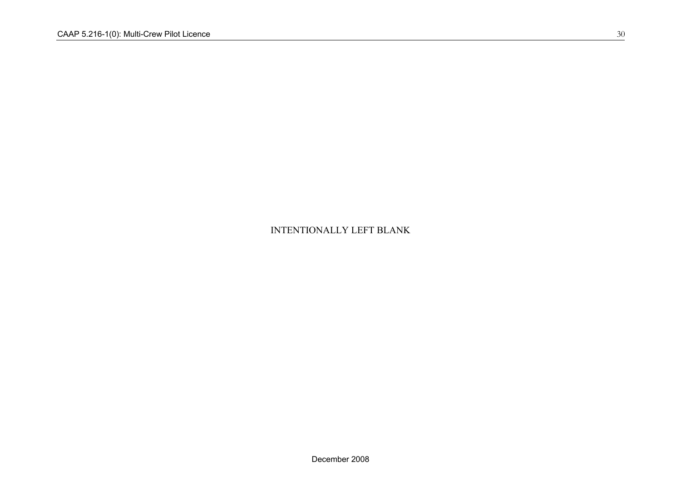### INTENTIONALLY LEFT BLANK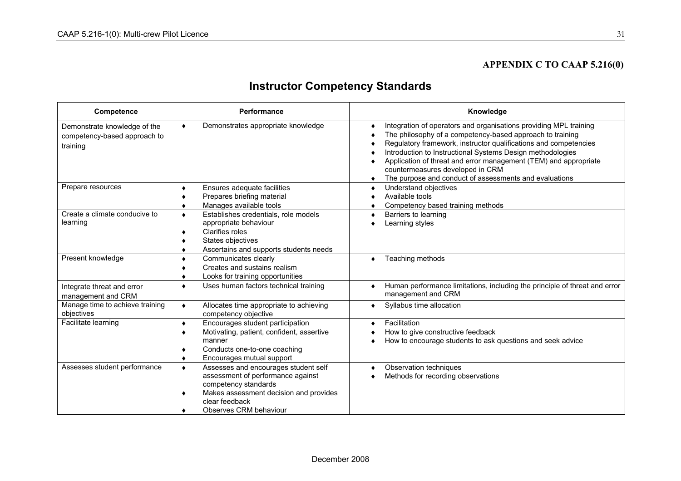### **APPENDIX C TO CAAP 5.216(0)**

# **Instructor Competency Standards**

| Competence                                                               | Performance                                                                                                                                                                                       | Knowledge                                                                                                                                                                                                                                                                                                                                                                                                                                                 |
|--------------------------------------------------------------------------|---------------------------------------------------------------------------------------------------------------------------------------------------------------------------------------------------|-----------------------------------------------------------------------------------------------------------------------------------------------------------------------------------------------------------------------------------------------------------------------------------------------------------------------------------------------------------------------------------------------------------------------------------------------------------|
| Demonstrate knowledge of the<br>competency-based approach to<br>training | Demonstrates appropriate knowledge<br>$\bullet$                                                                                                                                                   | Integration of operators and organisations providing MPL training<br>٠<br>The philosophy of a competency-based approach to training<br>٠<br>Regulatory framework, instructor qualifications and competencies<br>Introduction to Instructional Systems Design methodologies<br>Application of threat and error management (TEM) and appropriate<br>countermeasures developed in CRM<br>The purpose and conduct of assessments and evaluations<br>$\bullet$ |
| Prepare resources                                                        | Ensures adequate facilities<br>٠<br>Prepares briefing material<br>Manages available tools<br>٠                                                                                                    | Understand objectives<br>۰<br>Available tools<br>Competency based training methods<br>٠                                                                                                                                                                                                                                                                                                                                                                   |
| Create a climate conducive to<br>learning                                | Establishes credentials, role models<br>$\bullet$<br>appropriate behaviour<br><b>Clarifies roles</b><br>٠<br>States objectives<br>Ascertains and supports students needs                          | Barriers to learning<br>$\bullet$<br>Learning styles                                                                                                                                                                                                                                                                                                                                                                                                      |
| Present knowledge                                                        | Communicates clearly<br>٠<br>Creates and sustains realism<br>٠<br>Looks for training opportunities<br>٠                                                                                           | Teaching methods<br>٠                                                                                                                                                                                                                                                                                                                                                                                                                                     |
| Integrate threat and error<br>management and CRM                         | Uses human factors technical training<br>$\bullet$                                                                                                                                                | Human performance limitations, including the principle of threat and error<br>٠<br>management and CRM                                                                                                                                                                                                                                                                                                                                                     |
| Manage time to achieve training<br>objectives                            | Allocates time appropriate to achieving<br>$\bullet$<br>competency objective                                                                                                                      | Syllabus time allocation<br>٠                                                                                                                                                                                                                                                                                                                                                                                                                             |
| Facilitate learning                                                      | Encourages student participation<br>٠<br>Motivating, patient, confident, assertive<br>٠<br>manner<br>Conducts one-to-one coaching<br>۰<br>Encourages mutual support<br>٠                          | Facilitation<br>٠<br>How to give constructive feedback<br>How to encourage students to ask questions and seek advice                                                                                                                                                                                                                                                                                                                                      |
| Assesses student performance                                             | Assesses and encourages student self<br>٠<br>assessment of performance against<br>competency standards<br>Makes assessment decision and provides<br>٠<br>clear feedback<br>Observes CRM behaviour | Observation techniques<br>٠<br>Methods for recording observations<br>٠                                                                                                                                                                                                                                                                                                                                                                                    |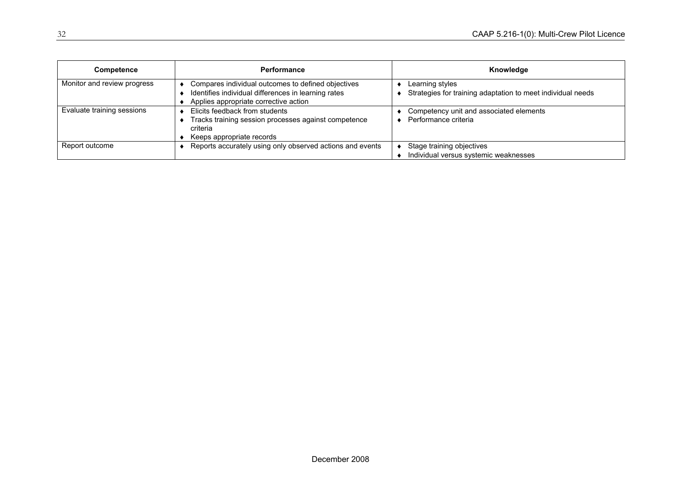| <b>Competence</b>           | <b>Performance</b>                                                                                                                                 | Knowledge                                                                      |
|-----------------------------|----------------------------------------------------------------------------------------------------------------------------------------------------|--------------------------------------------------------------------------------|
| Monitor and review progress | Compares individual outcomes to defined objectives<br>Identifies individual differences in learning rates<br>Applies appropriate corrective action | Learning styles<br>Strategies for training adaptation to meet individual needs |
| Evaluate training sessions  | Elicits feedback from students<br>Tracks training session processes against competence<br>criteria<br>Keeps appropriate records                    | Competency unit and associated elements<br>Performance criteria                |
| Report outcome              | Reports accurately using only observed actions and events                                                                                          | Stage training objectives<br>Individual versus systemic weaknesses             |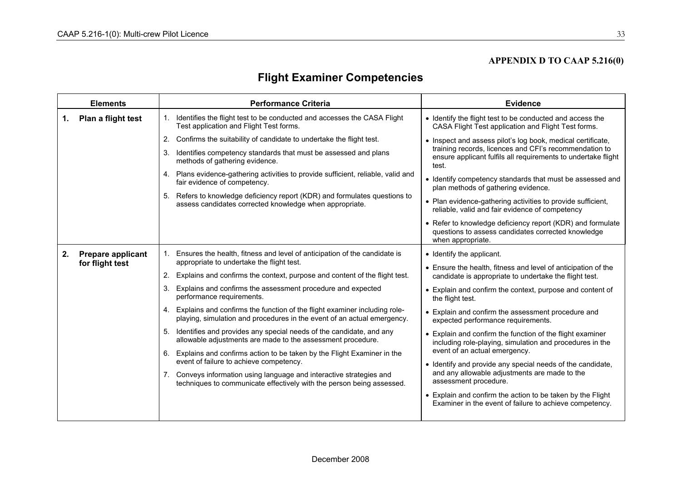### **APPENDIX D TO CAAP 5.216(0)**

# **Flight Examiner Competencies**

| <b>Elements</b> |                          | <b>Performance Criteria</b>                                                                                                                             | <b>Evidence</b>                                                                                                                     |
|-----------------|--------------------------|---------------------------------------------------------------------------------------------------------------------------------------------------------|-------------------------------------------------------------------------------------------------------------------------------------|
| 1.              | Plan a flight test       | Identifies the flight test to be conducted and accesses the CASA Flight<br>1.<br>Test application and Flight Test forms.                                | Identify the flight test to be conducted and access the<br>CASA Flight Test application and Flight Test forms.                      |
|                 |                          | Confirms the suitability of candidate to undertake the flight test.<br>2.                                                                               | Inspect and assess pilot's log book, medical certificate,                                                                           |
|                 |                          | Identifies competency standards that must be assessed and plans<br>3.<br>methods of gathering evidence.                                                 | training records, licences and CFI's recommendation to<br>ensure applicant fulfils all requirements to undertake flight<br>test.    |
|                 |                          | 4. Plans evidence-gathering activities to provide sufficient, reliable, valid and<br>fair evidence of competency.                                       | Identify competency standards that must be assessed and<br>plan methods of gathering evidence.                                      |
|                 |                          | Refers to knowledge deficiency report (KDR) and formulates questions to<br>assess candidates corrected knowledge when appropriate.                      | Plan evidence-gathering activities to provide sufficient,<br>reliable, valid and fair evidence of competency                        |
|                 |                          |                                                                                                                                                         | Refer to knowledge deficiency report (KDR) and formulate<br>questions to assess candidates corrected knowledge<br>when appropriate. |
| 2.              | <b>Prepare applicant</b> | Ensures the health, fitness and level of anticipation of the candidate is                                                                               | Identify the applicant.                                                                                                             |
|                 | for flight test          | appropriate to undertake the flight test.                                                                                                               | Ensure the health, fitness and level of anticipation of the                                                                         |
|                 |                          | Explains and confirms the context, purpose and content of the flight test.<br>2.                                                                        | candidate is appropriate to undertake the flight test.                                                                              |
|                 |                          | 3.<br>Explains and confirms the assessment procedure and expected<br>performance requirements.                                                          | Explain and confirm the context, purpose and content of<br>the flight test.                                                         |
|                 |                          | 4. Explains and confirms the function of the flight examiner including role-<br>playing, simulation and procedures in the event of an actual emergency. | Explain and confirm the assessment procedure and<br>expected performance requirements.                                              |
|                 |                          | Identifies and provides any special needs of the candidate, and any<br>allowable adjustments are made to the assessment procedure.                      | Explain and confirm the function of the flight examiner<br>including role-playing, simulation and procedures in the                 |
|                 |                          | Explains and confirms action to be taken by the Flight Examiner in the<br>6.                                                                            | event of an actual emergency.                                                                                                       |
|                 |                          | event of failure to achieve competency.                                                                                                                 | Identify and provide any special needs of the candidate,<br>and any allowable adjustments are made to the                           |
|                 |                          | 7. Conveys information using language and interactive strategies and<br>techniques to communicate effectively with the person being assessed.           | assessment procedure.                                                                                                               |
|                 |                          |                                                                                                                                                         | Explain and confirm the action to be taken by the Flight<br>Examiner in the event of failure to achieve competency.                 |
|                 |                          |                                                                                                                                                         |                                                                                                                                     |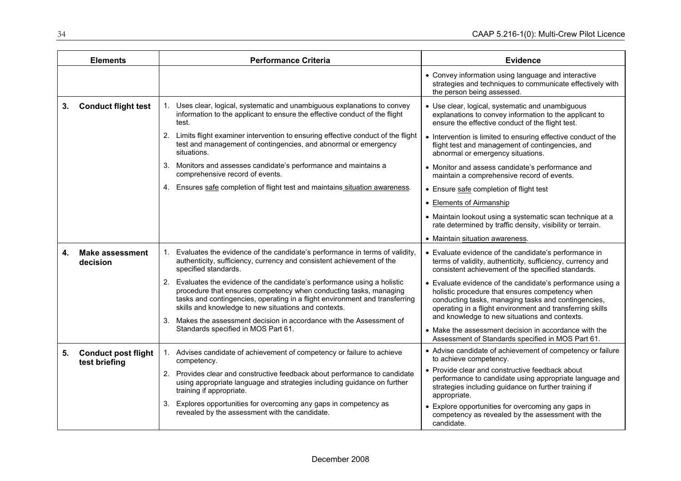| <b>Elements</b> |                                             | <b>Performance Criteria</b>                                                                                                                                                                                                                                                           | <b>Evidence</b>                                                                                                                                                                                                                                                                  |
|-----------------|---------------------------------------------|---------------------------------------------------------------------------------------------------------------------------------------------------------------------------------------------------------------------------------------------------------------------------------------|----------------------------------------------------------------------------------------------------------------------------------------------------------------------------------------------------------------------------------------------------------------------------------|
|                 |                                             |                                                                                                                                                                                                                                                                                       | Convey information using language and interactive<br>strategies and techniques to communicate effectively with<br>the person being assessed.                                                                                                                                     |
| 3.              | <b>Conduct flight test</b>                  | 1. Uses clear, logical, systematic and unambiguous explanations to convey<br>information to the applicant to ensure the effective conduct of the flight<br>test.                                                                                                                      | Use clear, logical, systematic and unambiguous<br>explanations to convey information to the applicant to<br>ensure the effective conduct of the flight test.                                                                                                                     |
|                 |                                             | 2. Limits flight examiner intervention to ensuring effective conduct of the flight<br>test and management of contingencies, and abnormal or emergency<br>situations.                                                                                                                  | Intervention is limited to ensuring effective conduct of the<br>flight test and management of contingencies, and<br>abnormal or emergency situations.                                                                                                                            |
|                 |                                             | 3. Monitors and assesses candidate's performance and maintains a<br>comprehensive record of events.                                                                                                                                                                                   | Monitor and assess candidate's performance and<br>maintain a comprehensive record of events.                                                                                                                                                                                     |
|                 |                                             | 4. Ensures safe completion of flight test and maintains situation awareness.                                                                                                                                                                                                          | Ensure safe completion of flight test                                                                                                                                                                                                                                            |
|                 |                                             |                                                                                                                                                                                                                                                                                       | Elements of Airmanship                                                                                                                                                                                                                                                           |
|                 |                                             |                                                                                                                                                                                                                                                                                       | Maintain lookout using a systematic scan technique at a<br>rate determined by traffic density, visibility or terrain.                                                                                                                                                            |
|                 |                                             |                                                                                                                                                                                                                                                                                       | Maintain situation awareness.                                                                                                                                                                                                                                                    |
| 4.              | <b>Make assessment</b><br>decision          | Evaluates the evidence of the candidate's performance in terms of validity,<br>$1_{\cdot}$<br>authenticity, sufficiency, currency and consistent achievement of the<br>specified standards.                                                                                           | Evaluate evidence of the candidate's performance in<br>terms of validity, authenticity, sufficiency, currency and<br>consistent achievement of the specified standards.                                                                                                          |
|                 |                                             | 2. Evaluates the evidence of the candidate's performance using a holistic<br>procedure that ensures competency when conducting tasks, managing<br>tasks and contingencies, operating in a flight environment and transferring<br>skills and knowledge to new situations and contexts. | Evaluate evidence of the candidate's performance using a<br>holistic procedure that ensures competency when<br>conducting tasks, managing tasks and contingencies,<br>operating in a flight environment and transferring skills<br>and knowledge to new situations and contexts. |
|                 |                                             | Makes the assessment decision in accordance with the Assessment of<br>3.<br>Standards specified in MOS Part 61.                                                                                                                                                                       | Make the assessment decision in accordance with the<br>Assessment of Standards specified in MOS Part 61                                                                                                                                                                          |
| 5.              | <b>Conduct post flight</b><br>test briefing | 1. Advises candidate of achievement of competency or failure to achieve<br>competency.                                                                                                                                                                                                | Advise candidate of achievement of competency or failure<br>to achieve competency.                                                                                                                                                                                               |
|                 |                                             | 2. Provides clear and constructive feedback about performance to candidate<br>using appropriate language and strategies including guidance on further<br>training if appropriate.                                                                                                     | Provide clear and constructive feedback about<br>performance to candidate using appropriate language and<br>strategies including guidance on further training if<br>appropriate.                                                                                                 |
|                 |                                             | Explores opportunities for overcoming any gaps in competency as<br>3.<br>revealed by the assessment with the candidate.                                                                                                                                                               | Explore opportunities for overcoming any gaps in<br>competency as revealed by the assessment with the<br>candidate.                                                                                                                                                              |